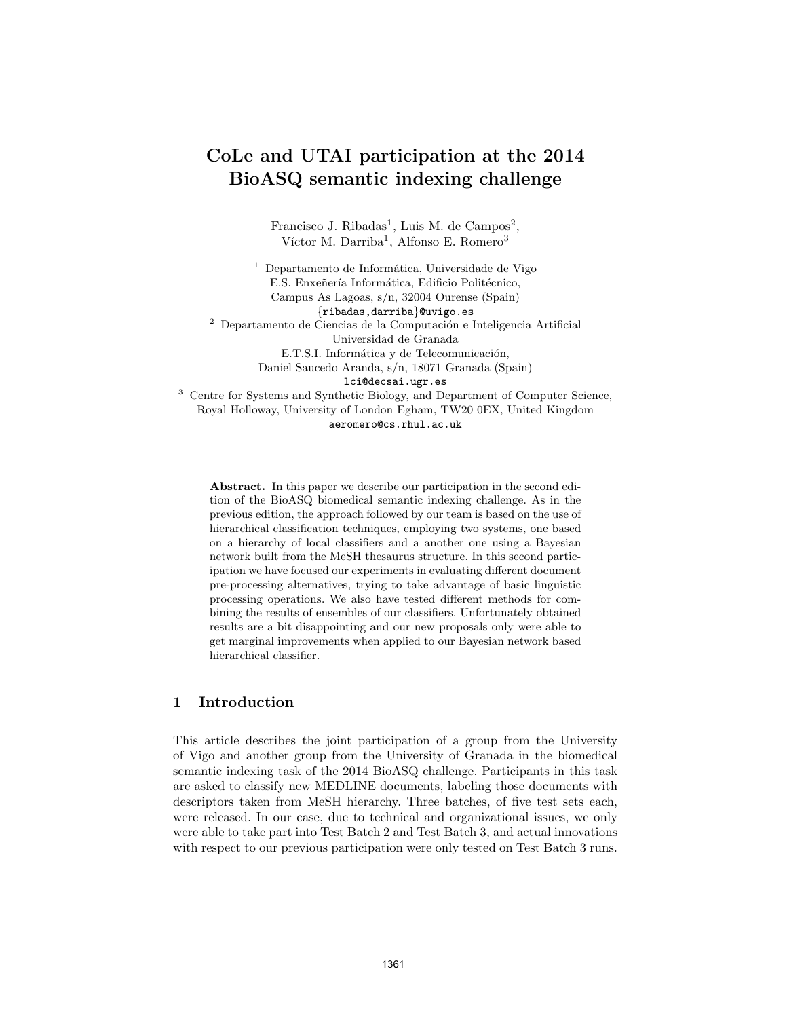# CoLe and UTAI participation at the 2014 BioASQ semantic indexing challenge

Francisco J. Ribadas<sup>1</sup>, Luis M. de Campos<sup>2</sup>, Víctor M. Darriba<sup>1</sup>, Alfonso E. Romero<sup>3</sup>

 $<sup>1</sup>$  Departamento de Informática, Universidade de Vigo</sup> E.S. Enxeñería Informática, Edificio Politécnico, Campus As Lagoas, s/n, 32004 Ourense (Spain) {ribadas,darriba}@uvigo.es  $^{\rm 2}$  Departamento de Ciencias de la Computación e Inteligencia Artificial Universidad de Granada E.T.S.I. Informática y de Telecomunicación, Daniel Saucedo Aranda, s/n, 18071 Granada (Spain) lci@decsai.ugr.es <sup>3</sup> Centre for Systems and Synthetic Biology, and Department of Computer Science,

Royal Holloway, University of London Egham, TW20 0EX, United Kingdom aeromero@cs.rhul.ac.uk

Abstract. In this paper we describe our participation in the second edition of the BioASQ biomedical semantic indexing challenge. As in the previous edition, the approach followed by our team is based on the use of hierarchical classification techniques, employing two systems, one based on a hierarchy of local classifiers and a another one using a Bayesian network built from the MeSH thesaurus structure. In this second participation we have focused our experiments in evaluating different document pre-processing alternatives, trying to take advantage of basic linguistic processing operations. We also have tested different methods for combining the results of ensembles of our classifiers. Unfortunately obtained results are a bit disappointing and our new proposals only were able to get marginal improvements when applied to our Bayesian network based hierarchical classifier.

# 1 Introduction

This article describes the joint participation of a group from the University of Vigo and another group from the University of Granada in the biomedical semantic indexing task of the 2014 BioASQ challenge. Participants in this task are asked to classify new MEDLINE documents, labeling those documents with descriptors taken from MeSH hierarchy. Three batches, of five test sets each, were released. In our case, due to technical and organizational issues, we only were able to take part into Test Batch 2 and Test Batch 3, and actual innovations with respect to our previous participation were only tested on Test Batch 3 runs.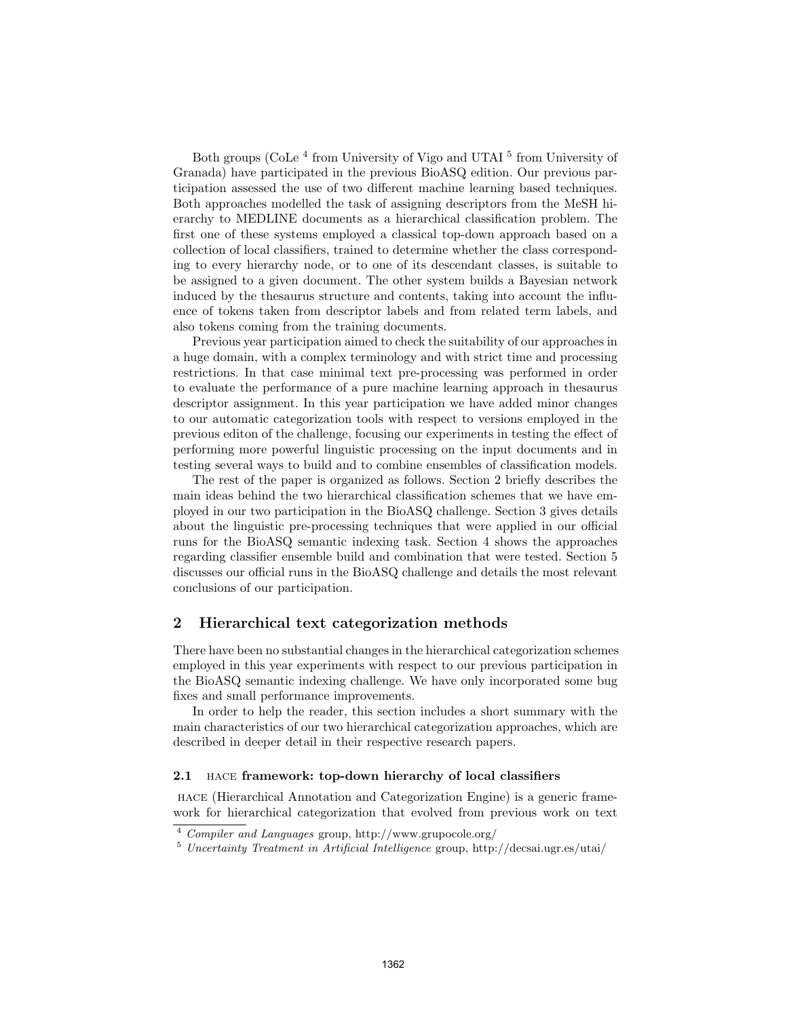Both groups (CoLe<sup>4</sup> from University of Vigo and UTAI<sup>5</sup> from University of Granada) have participated in the previous BioASQ edition. Our previous participation assessed the use of two different machine learning based techniques. Both approaches modelled the task of assigning descriptors from the MeSH hierarchy to MEDLINE documents as a hierarchical classification problem. The first one of these systems employed a classical top-down approach based on a collection of local classifiers, trained to determine whether the class corresponding to every hierarchy node, or to one of its descendant classes, is suitable to be assigned to a given document. The other system builds a Bayesian network induced by the thesaurus structure and contents, taking into account the influence of tokens taken from descriptor labels and from related term labels, and also tokens coming from the training documents.

Previous year participation aimed to check the suitability of our approaches in a huge domain, with a complex terminology and with strict time and processing restrictions. In that case minimal text pre-processing was performed in order to evaluate the performance of a pure machine learning approach in thesaurus descriptor assignment. In this year participation we have added minor changes to our automatic categorization tools with respect to versions employed in the previous editon of the challenge, focusing our experiments in testing the effect of performing more powerful linguistic processing on the input documents and in testing several ways to build and to combine ensembles of classification models.

The rest of the paper is organized as follows. Section 2 briefly describes the main ideas behind the two hierarchical classification schemes that we have employed in our two participation in the BioASQ challenge. Section 3 gives details about the linguistic pre-processing techniques that were applied in our official runs for the BioASQ semantic indexing task. Section 4 shows the approaches regarding classifier ensemble build and combination that were tested. Section 5 discusses our official runs in the BioASQ challenge and details the most relevant conclusions of our participation.

### 2 Hierarchical text categorization methods

There have been no substantial changes in the hierarchical categorization schemes employed in this year experiments with respect to our previous participation in the BioASQ semantic indexing challenge. We have only incorporated some bug fixes and small performance improvements.

In order to help the reader, this section includes a short summary with the main characteristics of our two hierarchical categorization approaches, which are described in deeper detail in their respective research papers.

#### 2.1 hace framework: top-down hierarchy of local classifiers

hace (Hierarchical Annotation and Categorization Engine) is a generic framework for hierarchical categorization that evolved from previous work on text

<sup>4</sup> Compiler and Languages group, http://www.grupocole.org/

<sup>5</sup> Uncertainty Treatment in Artificial Intelligence group, http://decsai.ugr.es/utai/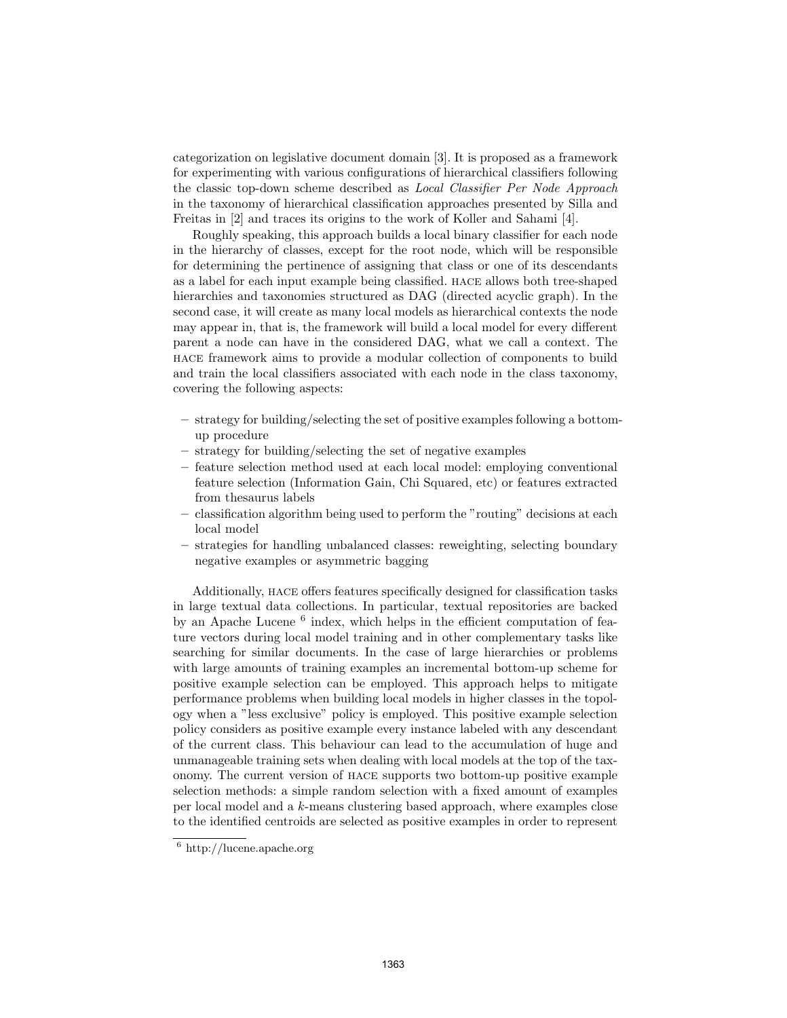categorization on legislative document domain [3]. It is proposed as a framework for experimenting with various configurations of hierarchical classifiers following the classic top-down scheme described as Local Classifier Per Node Approach in the taxonomy of hierarchical classification approaches presented by Silla and Freitas in [2] and traces its origins to the work of Koller and Sahami [4].

Roughly speaking, this approach builds a local binary classifier for each node in the hierarchy of classes, except for the root node, which will be responsible for determining the pertinence of assigning that class or one of its descendants as a label for each input example being classified. hace allows both tree-shaped hierarchies and taxonomies structured as DAG (directed acyclic graph). In the second case, it will create as many local models as hierarchical contexts the node may appear in, that is, the framework will build a local model for every different parent a node can have in the considered DAG, what we call a context. The hace framework aims to provide a modular collection of components to build and train the local classifiers associated with each node in the class taxonomy, covering the following aspects:

- strategy for building/selecting the set of positive examples following a bottomup procedure
- strategy for building/selecting the set of negative examples
- feature selection method used at each local model: employing conventional feature selection (Information Gain, Chi Squared, etc) or features extracted from thesaurus labels
- classification algorithm being used to perform the "routing" decisions at each local model
- strategies for handling unbalanced classes: reweighting, selecting boundary negative examples or asymmetric bagging

Additionally, hace offers features specifically designed for classification tasks in large textual data collections. In particular, textual repositories are backed by an Apache Lucene<sup>6</sup> index, which helps in the efficient computation of feature vectors during local model training and in other complementary tasks like searching for similar documents. In the case of large hierarchies or problems with large amounts of training examples an incremental bottom-up scheme for positive example selection can be employed. This approach helps to mitigate performance problems when building local models in higher classes in the topology when a "less exclusive" policy is employed. This positive example selection policy considers as positive example every instance labeled with any descendant of the current class. This behaviour can lead to the accumulation of huge and unmanageable training sets when dealing with local models at the top of the taxonomy. The current version of hace supports two bottom-up positive example selection methods: a simple random selection with a fixed amount of examples per local model and a k-means clustering based approach, where examples close to the identified centroids are selected as positive examples in order to represent

 $\frac{6}{6}$  http://lucene.apache.org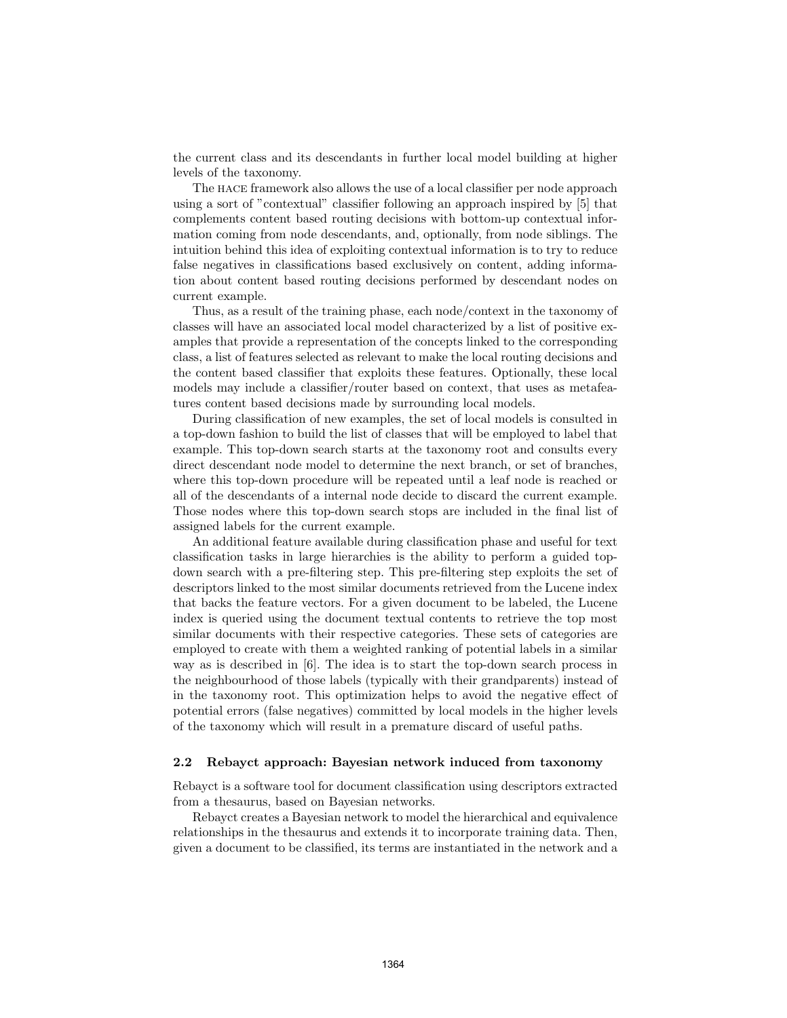the current class and its descendants in further local model building at higher levels of the taxonomy.

The hace framework also allows the use of a local classifier per node approach using a sort of "contextual" classifier following an approach inspired by [5] that complements content based routing decisions with bottom-up contextual information coming from node descendants, and, optionally, from node siblings. The intuition behind this idea of exploiting contextual information is to try to reduce false negatives in classifications based exclusively on content, adding information about content based routing decisions performed by descendant nodes on current example.

Thus, as a result of the training phase, each node/context in the taxonomy of classes will have an associated local model characterized by a list of positive examples that provide a representation of the concepts linked to the corresponding class, a list of features selected as relevant to make the local routing decisions and the content based classifier that exploits these features. Optionally, these local models may include a classifier/router based on context, that uses as metafeatures content based decisions made by surrounding local models.

During classification of new examples, the set of local models is consulted in a top-down fashion to build the list of classes that will be employed to label that example. This top-down search starts at the taxonomy root and consults every direct descendant node model to determine the next branch, or set of branches, where this top-down procedure will be repeated until a leaf node is reached or all of the descendants of a internal node decide to discard the current example. Those nodes where this top-down search stops are included in the final list of assigned labels for the current example.

An additional feature available during classification phase and useful for text classification tasks in large hierarchies is the ability to perform a guided topdown search with a pre-filtering step. This pre-filtering step exploits the set of descriptors linked to the most similar documents retrieved from the Lucene index that backs the feature vectors. For a given document to be labeled, the Lucene index is queried using the document textual contents to retrieve the top most similar documents with their respective categories. These sets of categories are employed to create with them a weighted ranking of potential labels in a similar way as is described in [6]. The idea is to start the top-down search process in the neighbourhood of those labels (typically with their grandparents) instead of in the taxonomy root. This optimization helps to avoid the negative effect of potential errors (false negatives) committed by local models in the higher levels of the taxonomy which will result in a premature discard of useful paths.

#### 2.2 Rebayct approach: Bayesian network induced from taxonomy

Rebayct is a software tool for document classification using descriptors extracted from a thesaurus, based on Bayesian networks.

Rebayct creates a Bayesian network to model the hierarchical and equivalence relationships in the thesaurus and extends it to incorporate training data. Then, given a document to be classified, its terms are instantiated in the network and a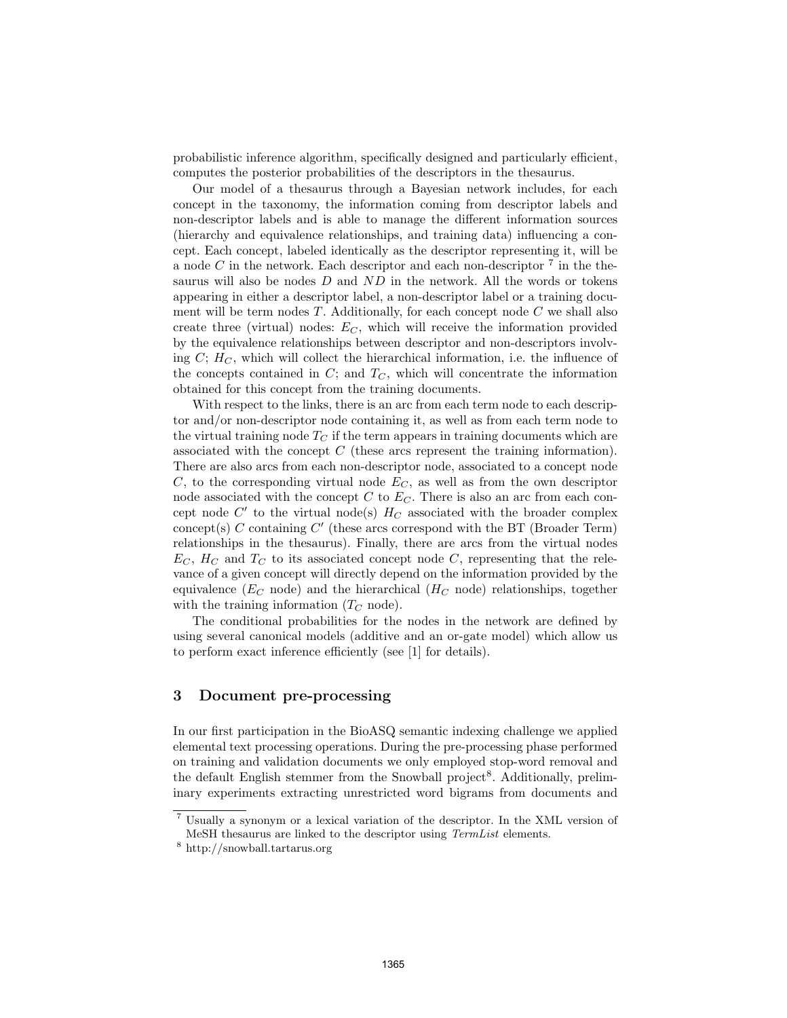probabilistic inference algorithm, specifically designed and particularly efficient, computes the posterior probabilities of the descriptors in the thesaurus.

Our model of a thesaurus through a Bayesian network includes, for each concept in the taxonomy, the information coming from descriptor labels and non-descriptor labels and is able to manage the different information sources (hierarchy and equivalence relationships, and training data) influencing a concept. Each concept, labeled identically as the descriptor representing it, will be a node  $C$  in the network. Each descriptor and each non-descriptor  $7$  in the thesaurus will also be nodes  $D$  and  $ND$  in the network. All the words or tokens appearing in either a descriptor label, a non-descriptor label or a training document will be term nodes  $T$ . Additionally, for each concept node  $C$  we shall also create three (virtual) nodes:  $E_C$ , which will receive the information provided by the equivalence relationships between descriptor and non-descriptors involving  $C$ ;  $H_C$ , which will collect the hierarchical information, i.e. the influence of the concepts contained in  $C$ ; and  $T<sub>C</sub>$ , which will concentrate the information obtained for this concept from the training documents.

With respect to the links, there is an arc from each term node to each descriptor and/or non-descriptor node containing it, as well as from each term node to the virtual training node  $T_C$  if the term appears in training documents which are associated with the concept  $C$  (these arcs represent the training information). There are also arcs from each non-descriptor node, associated to a concept node C, to the corresponding virtual node  $E_C$ , as well as from the own descriptor node associated with the concept  $C$  to  $E<sub>C</sub>$ . There is also an arc from each concept node  $C'$  to the virtual node(s)  $H_C$  associated with the broader complex  $\text{concept}(s)$  C containing  $C'$  (these arcs correspond with the BT (Broader Term) relationships in the thesaurus). Finally, there are arcs from the virtual nodes  $E_C$ ,  $H_C$  and  $T_C$  to its associated concept node C, representing that the relevance of a given concept will directly depend on the information provided by the equivalence ( $E_C$  node) and the hierarchical ( $H_C$  node) relationships, together with the training information  $(T_C \text{ node}).$ 

The conditional probabilities for the nodes in the network are defined by using several canonical models (additive and an or-gate model) which allow us to perform exact inference efficiently (see [1] for details).

# 3 Document pre-processing

In our first participation in the BioASQ semantic indexing challenge we applied elemental text processing operations. During the pre-processing phase performed on training and validation documents we only employed stop-word removal and the default English stemmer from the Snowball project<sup>8</sup>. Additionally, preliminary experiments extracting unrestricted word bigrams from documents and

<sup>7</sup> Usually a synonym or a lexical variation of the descriptor. In the XML version of MeSH thesaurus are linked to the descriptor using TermList elements.

<sup>8</sup> http://snowball.tartarus.org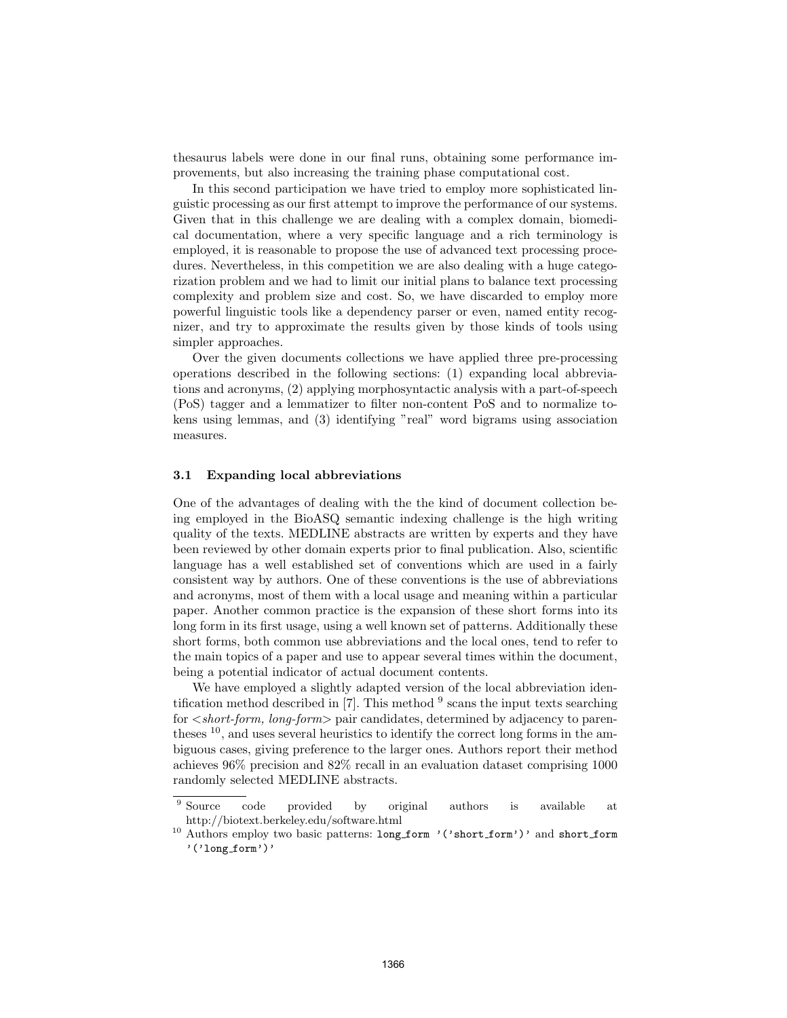thesaurus labels were done in our final runs, obtaining some performance improvements, but also increasing the training phase computational cost.

In this second participation we have tried to employ more sophisticated linguistic processing as our first attempt to improve the performance of our systems. Given that in this challenge we are dealing with a complex domain, biomedical documentation, where a very specific language and a rich terminology is employed, it is reasonable to propose the use of advanced text processing procedures. Nevertheless, in this competition we are also dealing with a huge categorization problem and we had to limit our initial plans to balance text processing complexity and problem size and cost. So, we have discarded to employ more powerful linguistic tools like a dependency parser or even, named entity recognizer, and try to approximate the results given by those kinds of tools using simpler approaches.

Over the given documents collections we have applied three pre-processing operations described in the following sections: (1) expanding local abbreviations and acronyms, (2) applying morphosyntactic analysis with a part-of-speech (PoS) tagger and a lemmatizer to filter non-content PoS and to normalize tokens using lemmas, and (3) identifying "real" word bigrams using association measures.

### 3.1 Expanding local abbreviations

One of the advantages of dealing with the the kind of document collection being employed in the BioASQ semantic indexing challenge is the high writing quality of the texts. MEDLINE abstracts are written by experts and they have been reviewed by other domain experts prior to final publication. Also, scientific language has a well established set of conventions which are used in a fairly consistent way by authors. One of these conventions is the use of abbreviations and acronyms, most of them with a local usage and meaning within a particular paper. Another common practice is the expansion of these short forms into its long form in its first usage, using a well known set of patterns. Additionally these short forms, both common use abbreviations and the local ones, tend to refer to the main topics of a paper and use to appear several times within the document, being a potential indicator of actual document contents.

We have employed a slightly adapted version of the local abbreviation identification method described in  $[7]$ . This method  $^9$  scans the input texts searching for  $\leq short-form$ , long-form  $\geq$  pair candidates, determined by adjacency to parentheses <sup>10</sup>, and uses several heuristics to identify the correct long forms in the ambiguous cases, giving preference to the larger ones. Authors report their method achieves 96% precision and 82% recall in an evaluation dataset comprising 1000 randomly selected MEDLINE abstracts.

<sup>&</sup>lt;sup>9</sup> Source code provided by original authors is available at http://biotext.berkeley.edu/software.html

<sup>&</sup>lt;sup>10</sup> Authors employ two basic patterns: long\_form '('short\_form')' and short\_form '('long form')'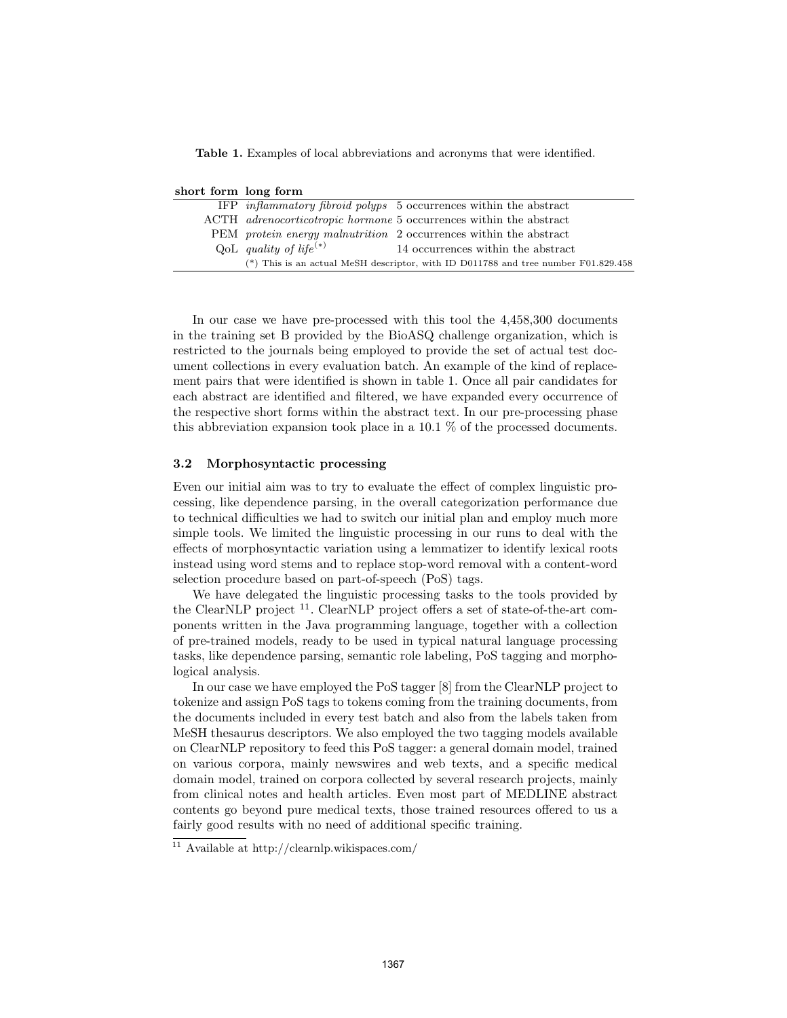Table 1. Examples of local abbreviations and acronyms that were identified.

|  | short form long form                                                     |  |  |  |
|--|--------------------------------------------------------------------------|--|--|--|
|  | IFP <i>inflammatory fibroid polyps</i> 5 occurrences within the abstract |  |  |  |
|  |                                                                          |  |  |  |

|                                    | ACTH <i>adrenocorticotropic hormone</i> 5 occurrences within the abstract            |
|------------------------------------|--------------------------------------------------------------------------------------|
|                                    | PEM <i>protein energy malnutrition</i> 2 occurrences within the abstract             |
| QoL quality of life <sup>(*)</sup> | 14 occurrences within the abstract                                                   |
|                                    | (*) This is an actual MeSH descriptor, with ID D011788 and tree number $F01.829.458$ |

In our case we have pre-processed with this tool the 4,458,300 documents in the training set B provided by the BioASQ challenge organization, which is restricted to the journals being employed to provide the set of actual test document collections in every evaluation batch. An example of the kind of replacement pairs that were identified is shown in table 1. Once all pair candidates for each abstract are identified and filtered, we have expanded every occurrence of the respective short forms within the abstract text. In our pre-processing phase this abbreviation expansion took place in a 10.1 % of the processed documents.

#### 3.2 Morphosyntactic processing

Even our initial aim was to try to evaluate the effect of complex linguistic processing, like dependence parsing, in the overall categorization performance due to technical difficulties we had to switch our initial plan and employ much more simple tools. We limited the linguistic processing in our runs to deal with the effects of morphosyntactic variation using a lemmatizer to identify lexical roots instead using word stems and to replace stop-word removal with a content-word selection procedure based on part-of-speech (PoS) tags.

We have delegated the linguistic processing tasks to the tools provided by the ClearNLP project <sup>11</sup>. ClearNLP project offers a set of state-of-the-art components written in the Java programming language, together with a collection of pre-trained models, ready to be used in typical natural language processing tasks, like dependence parsing, semantic role labeling, PoS tagging and morphological analysis.

In our case we have employed the PoS tagger [8] from the ClearNLP project to tokenize and assign PoS tags to tokens coming from the training documents, from the documents included in every test batch and also from the labels taken from MeSH thesaurus descriptors. We also employed the two tagging models available on ClearNLP repository to feed this PoS tagger: a general domain model, trained on various corpora, mainly newswires and web texts, and a specific medical domain model, trained on corpora collected by several research projects, mainly from clinical notes and health articles. Even most part of MEDLINE abstract contents go beyond pure medical texts, those trained resources offered to us a fairly good results with no need of additional specific training.

 $\frac{11}{11}$  Available at http://clearnlp.wikispaces.com/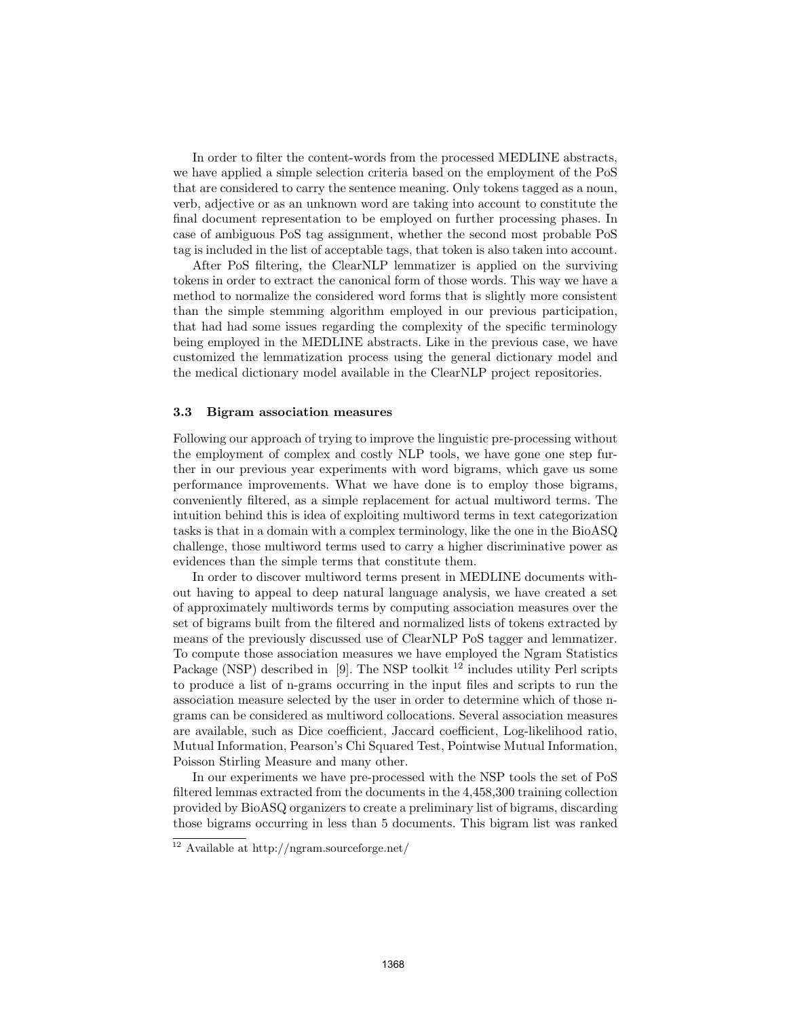In order to filter the content-words from the processed MEDLINE abstracts, we have applied a simple selection criteria based on the employment of the PoS that are considered to carry the sentence meaning. Only tokens tagged as a noun, verb, adjective or as an unknown word are taking into account to constitute the final document representation to be employed on further processing phases. In case of ambiguous PoS tag assignment, whether the second most probable PoS tag is included in the list of acceptable tags, that token is also taken into account.

After PoS filtering, the ClearNLP lemmatizer is applied on the surviving tokens in order to extract the canonical form of those words. This way we have a method to normalize the considered word forms that is slightly more consistent than the simple stemming algorithm employed in our previous participation, that had had some issues regarding the complexity of the specific terminology being employed in the MEDLINE abstracts. Like in the previous case, we have customized the lemmatization process using the general dictionary model and the medical dictionary model available in the ClearNLP project repositories.

#### 3.3 Bigram association measures

Following our approach of trying to improve the linguistic pre-processing without the employment of complex and costly NLP tools, we have gone one step further in our previous year experiments with word bigrams, which gave us some performance improvements. What we have done is to employ those bigrams, conveniently filtered, as a simple replacement for actual multiword terms. The intuition behind this is idea of exploiting multiword terms in text categorization tasks is that in a domain with a complex terminology, like the one in the BioASQ challenge, those multiword terms used to carry a higher discriminative power as evidences than the simple terms that constitute them.

In order to discover multiword terms present in MEDLINE documents without having to appeal to deep natural language analysis, we have created a set of approximately multiwords terms by computing association measures over the set of bigrams built from the filtered and normalized lists of tokens extracted by means of the previously discussed use of ClearNLP PoS tagger and lemmatizer. To compute those association measures we have employed the Ngram Statistics Package (NSP) described in [9]. The NSP toolkit  $^{12}$  includes utility Perl scripts to produce a list of n-grams occurring in the input files and scripts to run the association measure selected by the user in order to determine which of those ngrams can be considered as multiword collocations. Several association measures are available, such as Dice coefficient, Jaccard coefficient, Log-likelihood ratio, Mutual Information, Pearson's Chi Squared Test, Pointwise Mutual Information, Poisson Stirling Measure and many other.

In our experiments we have pre-processed with the NSP tools the set of PoS filtered lemmas extracted from the documents in the 4,458,300 training collection provided by BioASQ organizers to create a preliminary list of bigrams, discarding those bigrams occurring in less than 5 documents. This bigram list was ranked

<sup>12</sup> Available at http://ngram.sourceforge.net/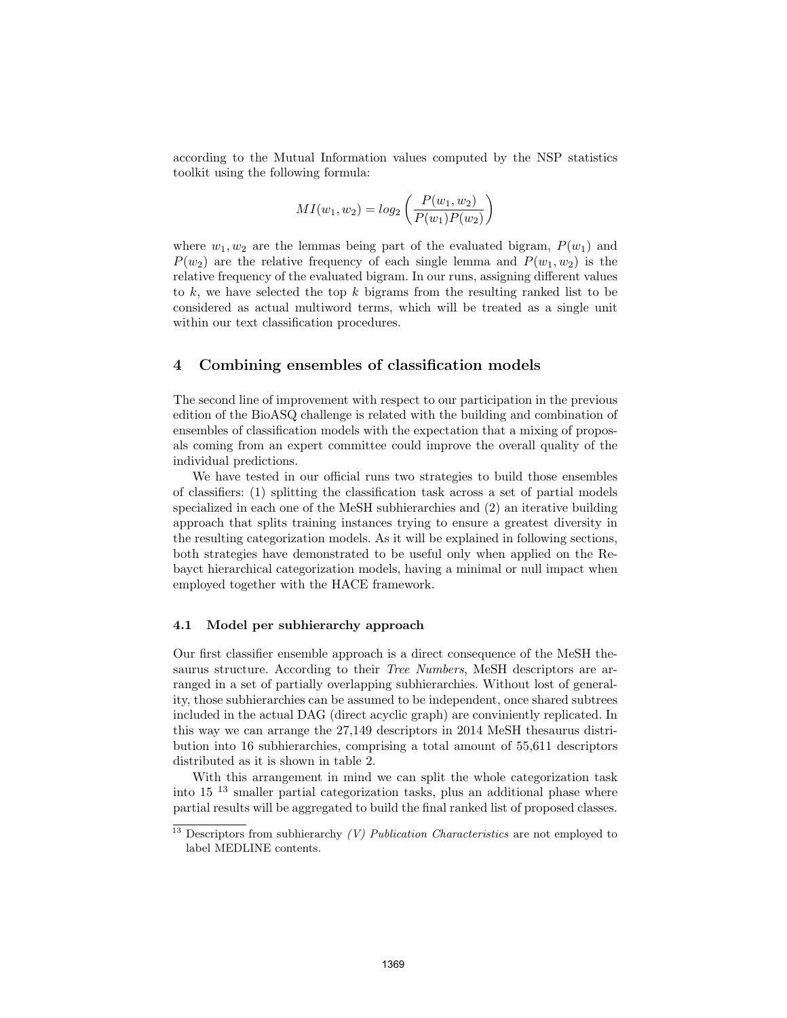according to the Mutual Information values computed by the NSP statistics toolkit using the following formula:

$$
MI(w_1, w_2) = log_2\left(\frac{P(w_1, w_2)}{P(w_1)P(w_2)}\right)
$$

where  $w_1, w_2$  are the lemmas being part of the evaluated bigram,  $P(w_1)$  and  $P(w_2)$  are the relative frequency of each single lemma and  $P(w_1, w_2)$  is the relative frequency of the evaluated bigram. In our runs, assigning different values to k, we have selected the top k bigrams from the resulting ranked list to be considered as actual multiword terms, which will be treated as a single unit within our text classification procedures.

### 4 Combining ensembles of classification models

The second line of improvement with respect to our participation in the previous edition of the BioASQ challenge is related with the building and combination of ensembles of classification models with the expectation that a mixing of proposals coming from an expert committee could improve the overall quality of the individual predictions.

We have tested in our official runs two strategies to build those ensembles of classifiers: (1) splitting the classification task across a set of partial models specialized in each one of the MeSH subhierarchies and (2) an iterative building approach that splits training instances trying to ensure a greatest diversity in the resulting categorization models. As it will be explained in following sections, both strategies have demonstrated to be useful only when applied on the Rebayct hierarchical categorization models, having a minimal or null impact when employed together with the HACE framework.

#### 4.1 Model per subhierarchy approach

Our first classifier ensemble approach is a direct consequence of the MeSH thesaurus structure. According to their *Tree Numbers*, MeSH descriptors are arranged in a set of partially overlapping subhierarchies. Without lost of generality, those subhierarchies can be assumed to be independent, once shared subtrees included in the actual DAG (direct acyclic graph) are conviniently replicated. In this way we can arrange the 27,149 descriptors in 2014 MeSH thesaurus distribution into 16 subhierarchies, comprising a total amount of 55,611 descriptors distributed as it is shown in table 2.

With this arrangement in mind we can split the whole categorization task into 15 <sup>13</sup> smaller partial categorization tasks, plus an additional phase where partial results will be aggregated to build the final ranked list of proposed classes.

 $13$  Descriptors from subhierarchy (V) Publication Characteristics are not employed to label MEDLINE contents.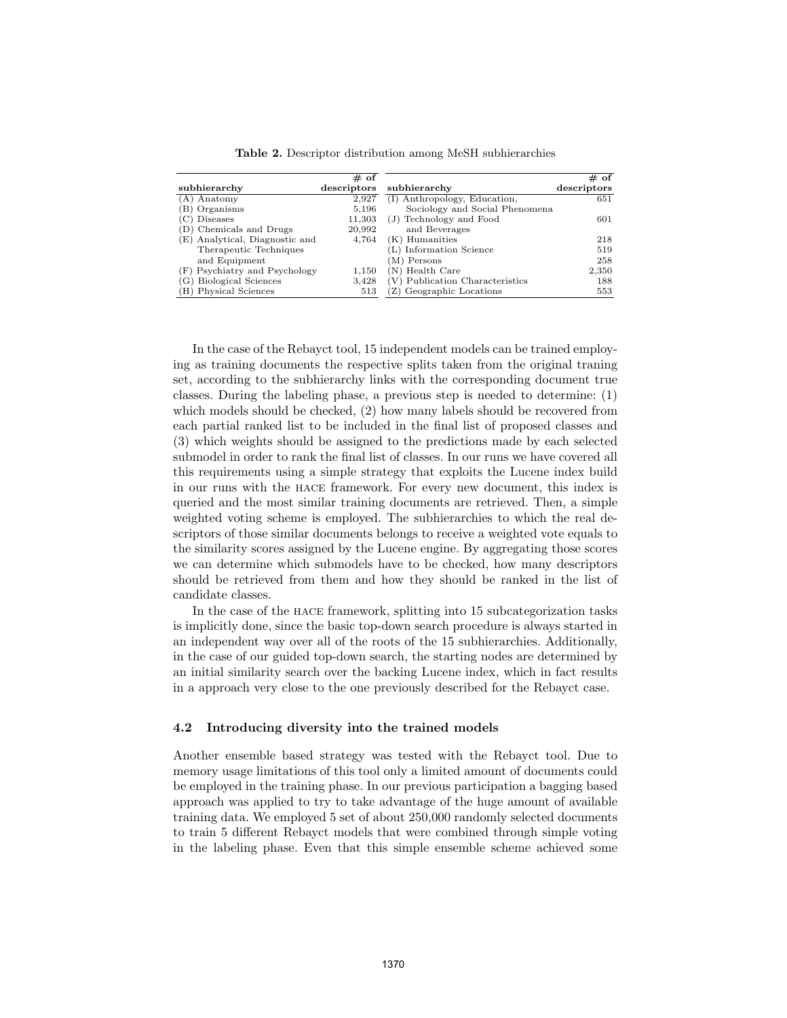|                                   | $#$ of      |                                 | $# \overline{of}$ |
|-----------------------------------|-------------|---------------------------------|-------------------|
| subhierarchy                      | descriptors | subhierarchy                    | descriptors       |
| (A) Anatomy                       | 2.927       | (I) Anthropology, Education,    | 651               |
| (B) Organisms                     | 5,196       | Sociology and Social Phenomena  |                   |
| Diseases                          | 11,303      | (J) Technology and Food         | 601               |
| (D) Chemicals and Drugs           | 20,992      | and Beverages                   |                   |
| (E) Analytical, Diagnostic and    | 4,764       | (K) Humanities                  | 218               |
| Therapeutic Techniques            |             | L) Information Science          | 519               |
| and Equipment                     |             | (M) Persons                     | 258               |
| (F) Psychiatry and Psychology     | 1,150       | (N) Health Care                 | 2,350             |
| <b>Biological Sciences</b><br>(G) | 3,428       | (V) Publication Characteristics | 188               |
| (H) Physical Sciences             | 513         | (Z) Geographic Locations        | 553               |

Table 2. Descriptor distribution among MeSH subhierarchies

In the case of the Rebayct tool, 15 independent models can be trained employing as training documents the respective splits taken from the original traning set, according to the subhierarchy links with the corresponding document true classes. During the labeling phase, a previous step is needed to determine: (1) which models should be checked, (2) how many labels should be recovered from each partial ranked list to be included in the final list of proposed classes and (3) which weights should be assigned to the predictions made by each selected submodel in order to rank the final list of classes. In our runs we have covered all this requirements using a simple strategy that exploits the Lucene index build in our runs with the hace framework. For every new document, this index is queried and the most similar training documents are retrieved. Then, a simple weighted voting scheme is employed. The subhierarchies to which the real descriptors of those similar documents belongs to receive a weighted vote equals to the similarity scores assigned by the Lucene engine. By aggregating those scores we can determine which submodels have to be checked, how many descriptors should be retrieved from them and how they should be ranked in the list of candidate classes.

In the case of the hace framework, splitting into 15 subcategorization tasks is implicitly done, since the basic top-down search procedure is always started in an independent way over all of the roots of the 15 subhierarchies. Additionally, in the case of our guided top-down search, the starting nodes are determined by an initial similarity search over the backing Lucene index, which in fact results in a approach very close to the one previously described for the Rebayct case.

#### 4.2 Introducing diversity into the trained models

Another ensemble based strategy was tested with the Rebayct tool. Due to memory usage limitations of this tool only a limited amount of documents could be employed in the training phase. In our previous participation a bagging based approach was applied to try to take advantage of the huge amount of available training data. We employed 5 set of about 250,000 randomly selected documents to train 5 different Rebayct models that were combined through simple voting in the labeling phase. Even that this simple ensemble scheme achieved some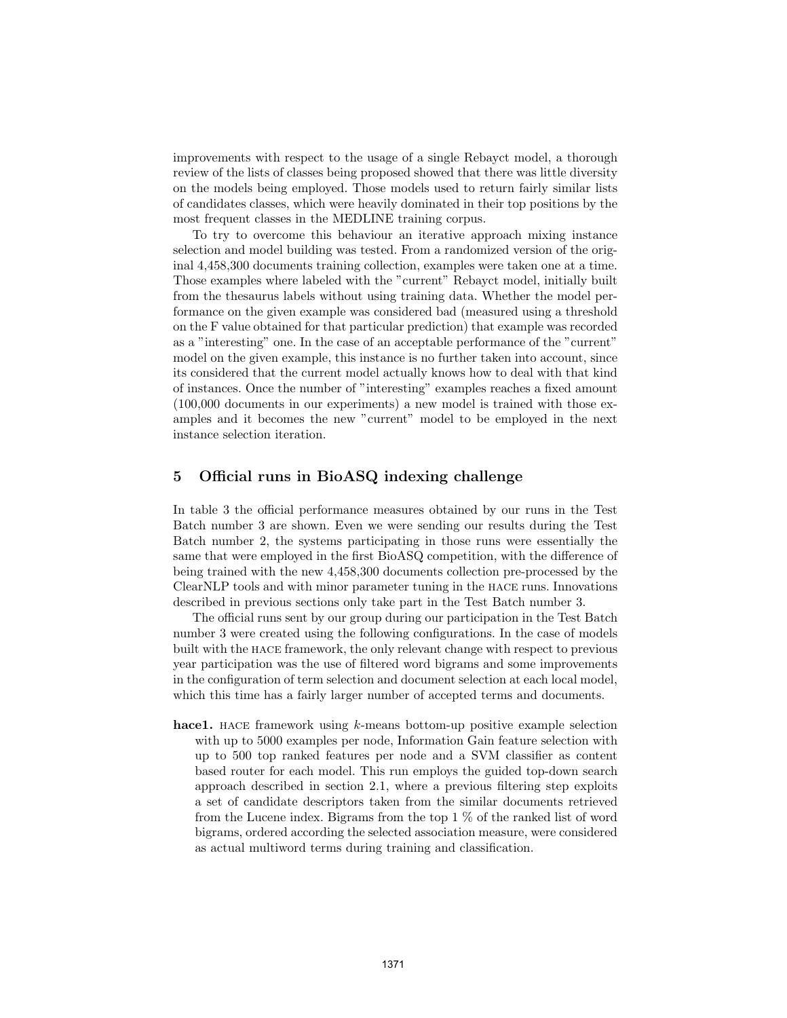improvements with respect to the usage of a single Rebayct model, a thorough review of the lists of classes being proposed showed that there was little diversity on the models being employed. Those models used to return fairly similar lists of candidates classes, which were heavily dominated in their top positions by the most frequent classes in the MEDLINE training corpus.

To try to overcome this behaviour an iterative approach mixing instance selection and model building was tested. From a randomized version of the original 4,458,300 documents training collection, examples were taken one at a time. Those examples where labeled with the "current" Rebayct model, initially built from the thesaurus labels without using training data. Whether the model performance on the given example was considered bad (measured using a threshold on the F value obtained for that particular prediction) that example was recorded as a "interesting" one. In the case of an acceptable performance of the "current" model on the given example, this instance is no further taken into account, since its considered that the current model actually knows how to deal with that kind of instances. Once the number of "interesting" examples reaches a fixed amount (100,000 documents in our experiments) a new model is trained with those examples and it becomes the new "current" model to be employed in the next instance selection iteration.

## 5 Official runs in BioASQ indexing challenge

In table 3 the official performance measures obtained by our runs in the Test Batch number 3 are shown. Even we were sending our results during the Test Batch number 2, the systems participating in those runs were essentially the same that were employed in the first BioASQ competition, with the difference of being trained with the new 4,458,300 documents collection pre-processed by the ClearNLP tools and with minor parameter tuning in the hace runs. Innovations described in previous sections only take part in the Test Batch number 3.

The official runs sent by our group during our participation in the Test Batch number 3 were created using the following configurations. In the case of models built with the hace framework, the only relevant change with respect to previous year participation was the use of filtered word bigrams and some improvements in the configuration of term selection and document selection at each local model, which this time has a fairly larger number of accepted terms and documents.

hace1. HACE framework using k-means bottom-up positive example selection with up to 5000 examples per node, Information Gain feature selection with up to 500 top ranked features per node and a SVM classifier as content based router for each model. This run employs the guided top-down search approach described in section 2.1, where a previous filtering step exploits a set of candidate descriptors taken from the similar documents retrieved from the Lucene index. Bigrams from the top 1 % of the ranked list of word bigrams, ordered according the selected association measure, were considered as actual multiword terms during training and classification.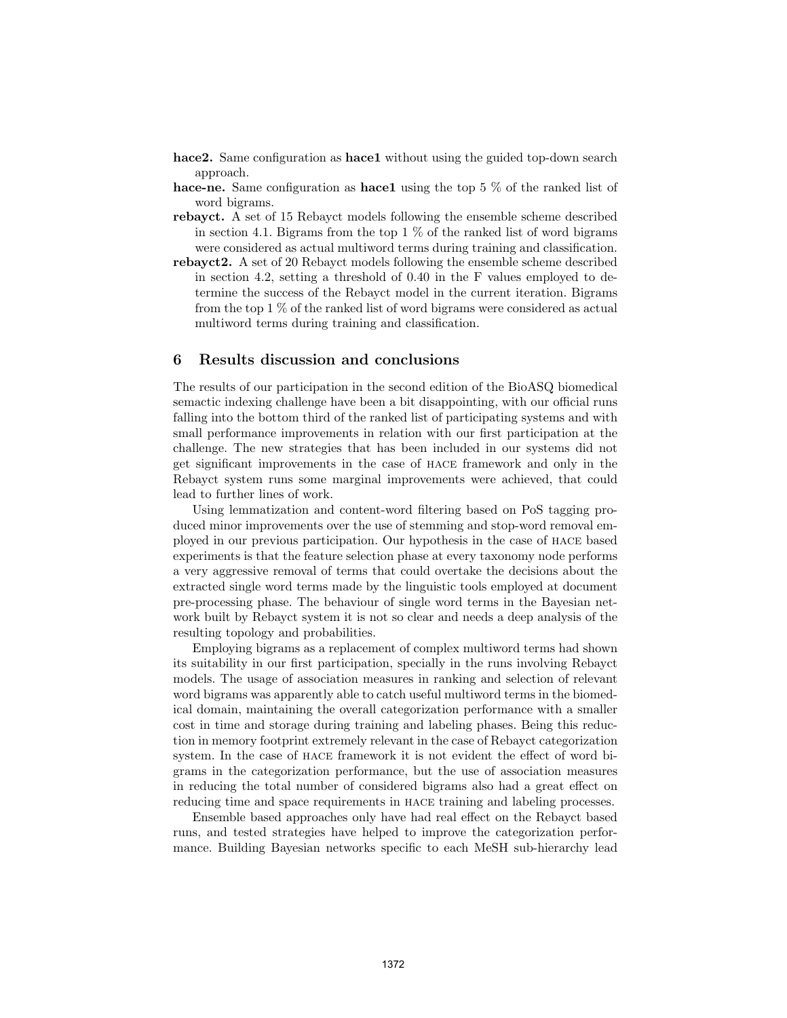- hace2. Same configuration as hace1 without using the guided top-down search approach.
- hace-ne. Same configuration as hace1 using the top 5 % of the ranked list of word bigrams.
- rebayct. A set of 15 Rebayct models following the ensemble scheme described in section 4.1. Bigrams from the top  $1\%$  of the ranked list of word bigrams were considered as actual multiword terms during training and classification.
- rebayct2. A set of 20 Rebayct models following the ensemble scheme described in section 4.2, setting a threshold of 0.40 in the F values employed to determine the success of the Rebayct model in the current iteration. Bigrams from the top 1 % of the ranked list of word bigrams were considered as actual multiword terms during training and classification.

# 6 Results discussion and conclusions

The results of our participation in the second edition of the BioASQ biomedical semactic indexing challenge have been a bit disappointing, with our official runs falling into the bottom third of the ranked list of participating systems and with small performance improvements in relation with our first participation at the challenge. The new strategies that has been included in our systems did not get significant improvements in the case of hace framework and only in the Rebayct system runs some marginal improvements were achieved, that could lead to further lines of work.

Using lemmatization and content-word filtering based on PoS tagging produced minor improvements over the use of stemming and stop-word removal employed in our previous participation. Our hypothesis in the case of hace based experiments is that the feature selection phase at every taxonomy node performs a very aggressive removal of terms that could overtake the decisions about the extracted single word terms made by the linguistic tools employed at document pre-processing phase. The behaviour of single word terms in the Bayesian network built by Rebayct system it is not so clear and needs a deep analysis of the resulting topology and probabilities.

Employing bigrams as a replacement of complex multiword terms had shown its suitability in our first participation, specially in the runs involving Rebayct models. The usage of association measures in ranking and selection of relevant word bigrams was apparently able to catch useful multiword terms in the biomedical domain, maintaining the overall categorization performance with a smaller cost in time and storage during training and labeling phases. Being this reduction in memory footprint extremely relevant in the case of Rebayct categorization system. In the case of hace framework it is not evident the effect of word bigrams in the categorization performance, but the use of association measures in reducing the total number of considered bigrams also had a great effect on reducing time and space requirements in hace training and labeling processes.

Ensemble based approaches only have had real effect on the Rebayct based runs, and tested strategies have helped to improve the categorization performance. Building Bayesian networks specific to each MeSH sub-hierarchy lead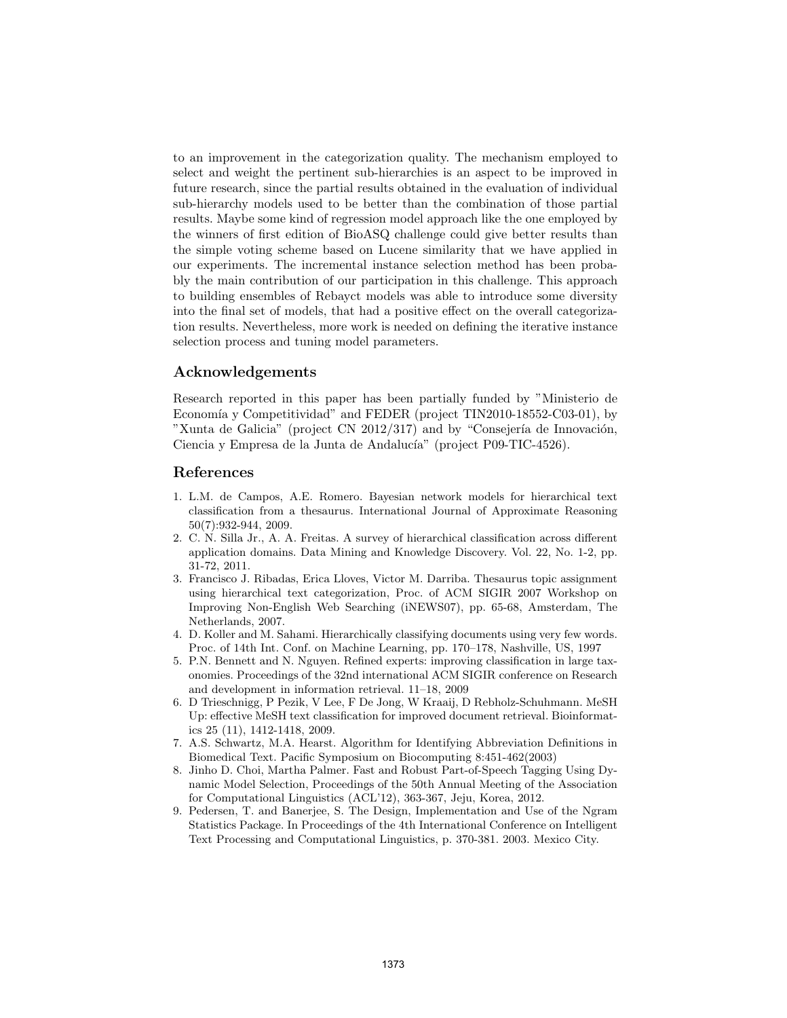to an improvement in the categorization quality. The mechanism employed to select and weight the pertinent sub-hierarchies is an aspect to be improved in future research, since the partial results obtained in the evaluation of individual sub-hierarchy models used to be better than the combination of those partial results. Maybe some kind of regression model approach like the one employed by the winners of first edition of BioASQ challenge could give better results than the simple voting scheme based on Lucene similarity that we have applied in our experiments. The incremental instance selection method has been probably the main contribution of our participation in this challenge. This approach to building ensembles of Rebayct models was able to introduce some diversity into the final set of models, that had a positive effect on the overall categorization results. Nevertheless, more work is needed on defining the iterative instance selection process and tuning model parameters.

# Acknowledgements

Research reported in this paper has been partially funded by "Ministerio de Economía y Competitividad" and FEDER (project TIN2010-18552-C03-01), by "Xunta de Galicia" (project CN 2012/317) and by "Consejería de Innovación, Ciencia y Empresa de la Junta de Andalucía" (project P09-TIC-4526).

### References

- 1. L.M. de Campos, A.E. Romero. Bayesian network models for hierarchical text classification from a thesaurus. International Journal of Approximate Reasoning 50(7):932-944, 2009.
- 2. C. N. Silla Jr., A. A. Freitas. A survey of hierarchical classification across different application domains. Data Mining and Knowledge Discovery. Vol. 22, No. 1-2, pp. 31-72, 2011.
- 3. Francisco J. Ribadas, Erica Lloves, Victor M. Darriba. Thesaurus topic assignment using hierarchical text categorization, Proc. of ACM SIGIR 2007 Workshop on Improving Non-English Web Searching (iNEWS07), pp. 65-68, Amsterdam, The Netherlands, 2007.
- 4. D. Koller and M. Sahami. Hierarchically classifying documents using very few words. Proc. of 14th Int. Conf. on Machine Learning, pp. 170–178, Nashville, US, 1997
- 5. P.N. Bennett and N. Nguyen. Refined experts: improving classification in large taxonomies. Proceedings of the 32nd international ACM SIGIR conference on Research and development in information retrieval. 11–18, 2009
- 6. D Trieschnigg, P Pezik, V Lee, F De Jong, W Kraaij, D Rebholz-Schuhmann. MeSH Up: effective MeSH text classification for improved document retrieval. Bioinformatics 25 (11), 1412-1418, 2009.
- 7. A.S. Schwartz, M.A. Hearst. Algorithm for Identifying Abbreviation Definitions in Biomedical Text. Pacific Symposium on Biocomputing 8:451-462(2003)
- 8. Jinho D. Choi, Martha Palmer. Fast and Robust Part-of-Speech Tagging Using Dynamic Model Selection, Proceedings of the 50th Annual Meeting of the Association for Computational Linguistics (ACL'12), 363-367, Jeju, Korea, 2012.
- 9. Pedersen, T. and Banerjee, S. The Design, Implementation and Use of the Ngram Statistics Package. In Proceedings of the 4th International Conference on Intelligent Text Processing and Computational Linguistics, p. 370-381. 2003. Mexico City.